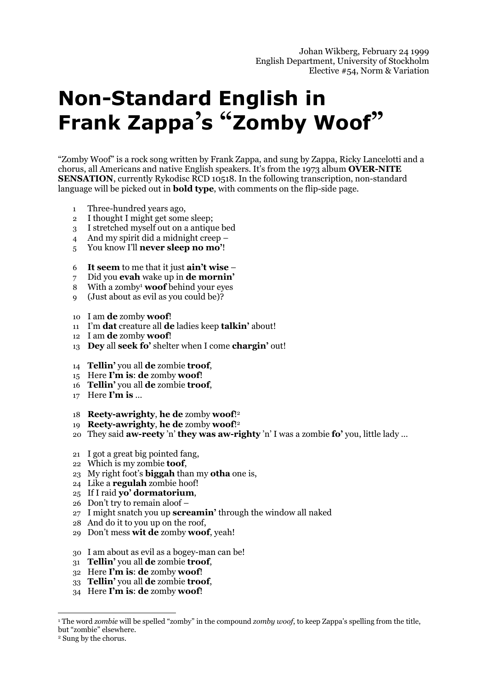# **Non-Standard English in Frank Zappa's "Zomby Woof"**

"Zomby Woof" is a rock song written by Frank Zappa, and sung by Zappa, Ricky Lancelotti and a chorus, all Americans and native English speakers. It's from the 1973 album **OVER-NITE SENSATION**, currently Rykodisc RCD 10518. In the following transcription, non-standard language will be picked out in **bold type**, with comments on the flip-side page.

- 1 Three-hundred years ago,
- 2 I thought I might get some sleep;
- 3 I stretched myself out on a antique bed
- 4 And my spirit did a midnight creep –
- 5 You know I'll **never sleep no mo'**!
- 6 **It seem** to me that it just **ain't wise** –
- 7 Did you **evah** wake up in **de mornin'**
- 8 With a zomby1 **woof** behind your eyes
- 9 (Just about as evil as you could be)?
- 10 I am **de** zomby **woof**!
- 11 I'm **dat** creature all **de** ladies keep **talkin'** about!
- 12 I am **de** zomby **woof**!
- 13 **Dey** all **seek fo'** shelter when I come **chargin'** out!
- 14 **Tellin'** you all **de** zombie **troof**,
- 15 Here **I'm is**: **de** zomby **woof**!
- 16 **Tellin'** you all **de** zombie **troof**,
- 17 Here **I'm is** …
- 18 **Reety-awrighty**, **he de** zomby **woof**!2
- 19 **Reety-awrighty**, **he de** zomby **woof**!2
- 20 They said **aw-reety** 'n' **they was aw-righty** 'n' I was a zombie **fo'** you, little lady …
- 21 I got a great big pointed fang,
- 22 Which is my zombie **toof**,
- 23 My right foot's **biggah** than my **otha** one is,
- 24 Like a **regulah** zombie hoof!
- 25 If I raid **yo' dormatorium**,
- 26 Don't try to remain aloof –
- 27 I might snatch you up **screamin'** through the window all naked
- 28 And do it to you up on the roof,
- 29 Don't mess **wit de** zomby **woof**, yeah!
- 30 I am about as evil as a bogey-man can be!
- 31 **Tellin'** you all **de** zombie **troof**,
- 32 Here **I'm is**: **de** zomby **woof**!
- 33 **Tellin'** you all **de** zombie **troof**,
- 34 Here **I'm is**: **de** zomby **woof**!

 $\overline{a}$ 1 The word *zombie* will be spelled "zomby" in the compound *zomby woof*, to keep Zappa's spelling from the title, but "zombie" elsewhere.

<sup>2</sup> Sung by the chorus.